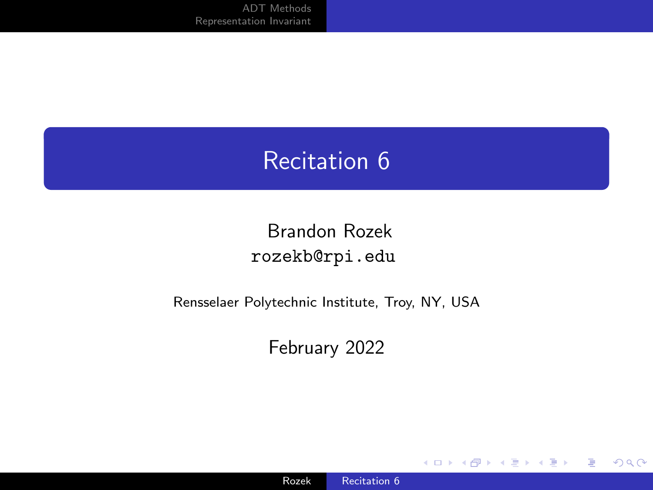## <span id="page-0-0"></span>Recitation 6

#### Brandon Rozek [rozekb@rpi.edu](mailto:rozekb@rpi.edu)

#### Rensselaer Polytechnic Institute, Troy, NY, USA

#### February 2022

4 ロ ト 4 伊

 $\mathbb{R}$ 

 $299$ 

∍

Ε

-b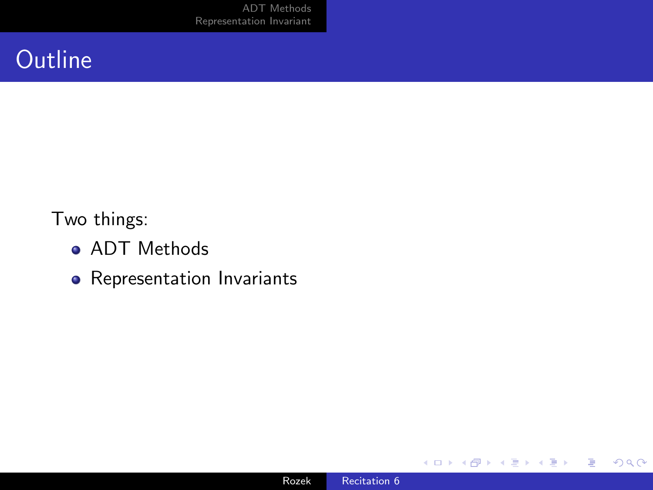[ADT Methods](#page-4-0) [Representation Invariant](#page-17-0)

## **Outline**

Two things:

- **ADT Methods**
- Representation Invariants

**∢ ロ ▶ ィ 何 ▶** 

∍

×. D.  $\prec$  活  $\,$  E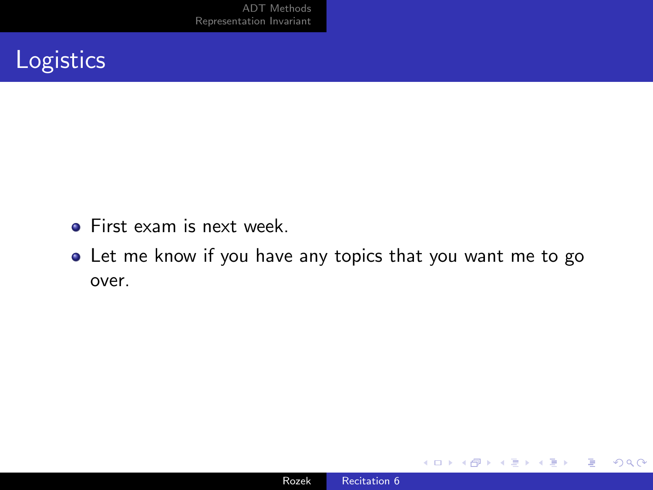[ADT Methods](#page-4-0) [Representation Invariant](#page-17-0)

## **Logistics**

- **•** First exam is next week.
- Let me know if you have any topics that you want me to go over.

4日)

 $299$ 

∍

э -b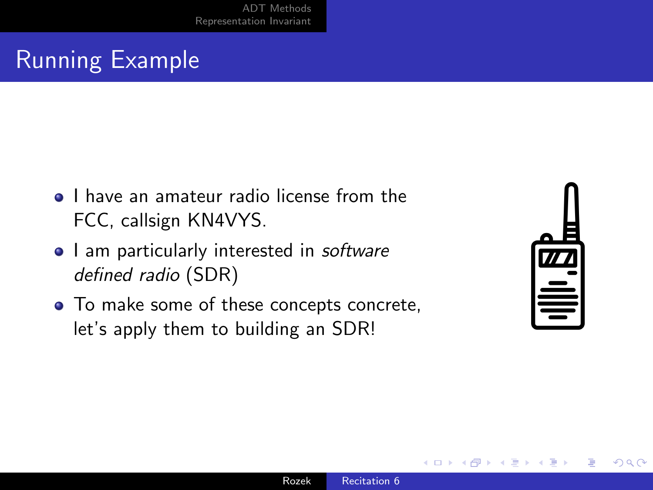## Running Example

- **•** I have an amateur radio license from the FCC, callsign KN4VYS.
- I am particularly interested in software defined radio (SDR)
- To make some of these concepts concrete, let's apply them to building an SDR!

| 77 |
|----|
|    |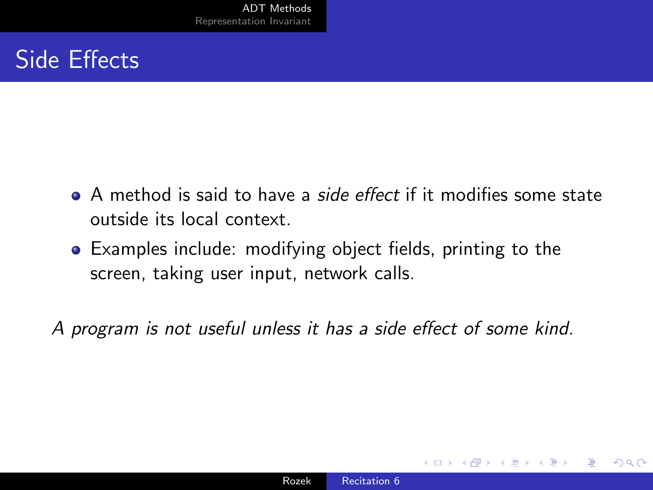## <span id="page-4-0"></span>Side Effects

- A method is said to have a *side effect* if it modifies some state outside its local context.
- Examples include: modifying object fields, printing to the screen, taking user input, network calls.

A program is not useful unless it has a side effect of some kind.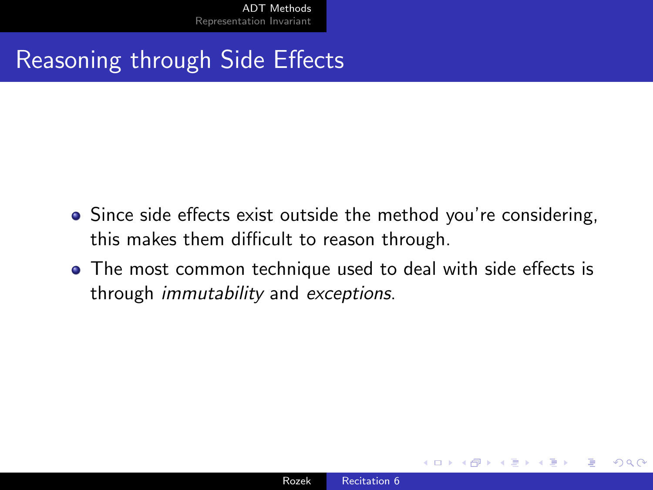[ADT Methods](#page-4-0) [Representation Invariant](#page-17-0)

Reasoning through Side Effects

- Since side effects exist outside the method you're considering, this makes them difficult to reason through.
- The most common technique used to deal with side effects is through immutability and exceptions.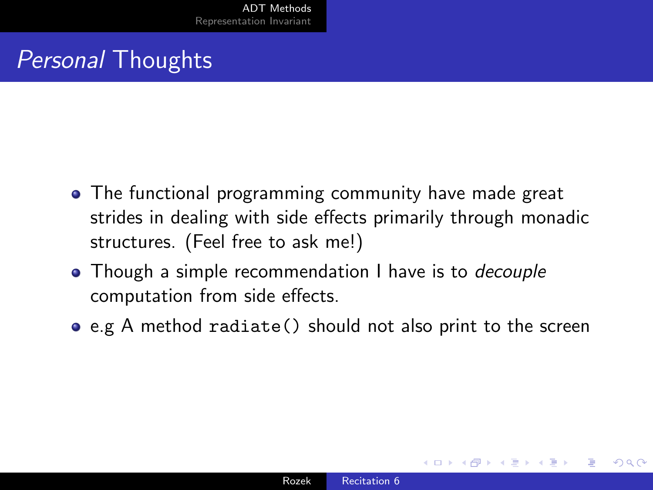## Personal Thoughts

- The functional programming community have made great strides in dealing with side effects primarily through monadic structures. (Feel free to ask me!)
- Though a simple recommendation I have is to *decouple* computation from side effects.
- e.g A method radiate() should not also print to the screen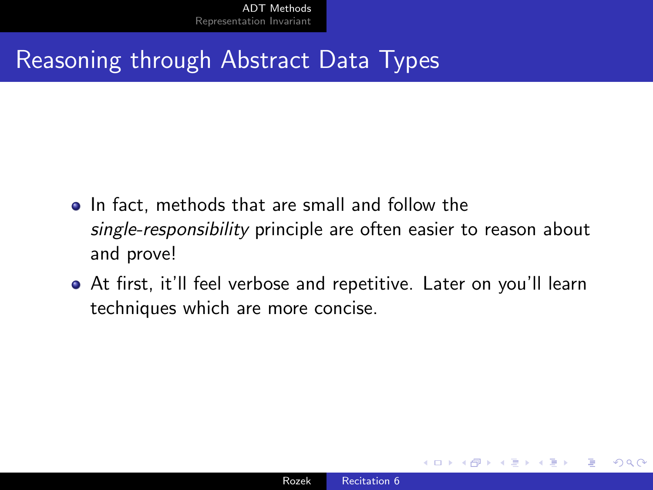### Reasoning through Abstract Data Types

- In fact, methods that are small and follow the single-responsibility principle are often easier to reason about and prove!
- At first, it'll feel verbose and repetitive. Later on you'll learn techniques which are more concise.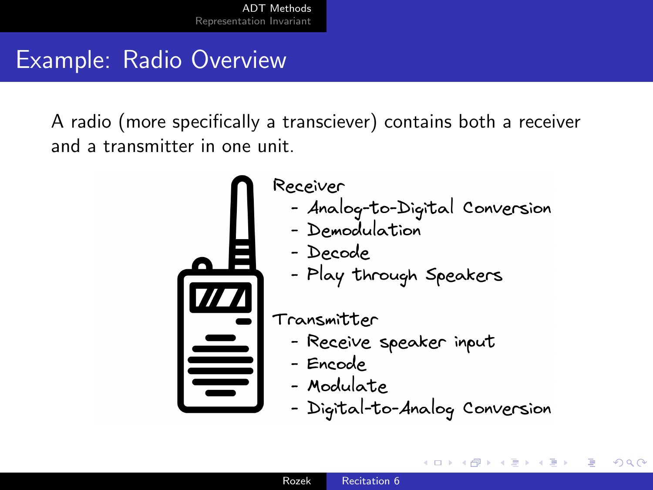## Example: Radio Overview

A radio (more specifically a transciever) contains both a receiver and a transmitter in one unit.



Receiver - Analog-to-Digital Conversion

- Demodulation
- Decode
- Play through Speakers

Transmitter

- Receive speaker input
- Encode
- Modulate
- Digital-to-Analog Conversion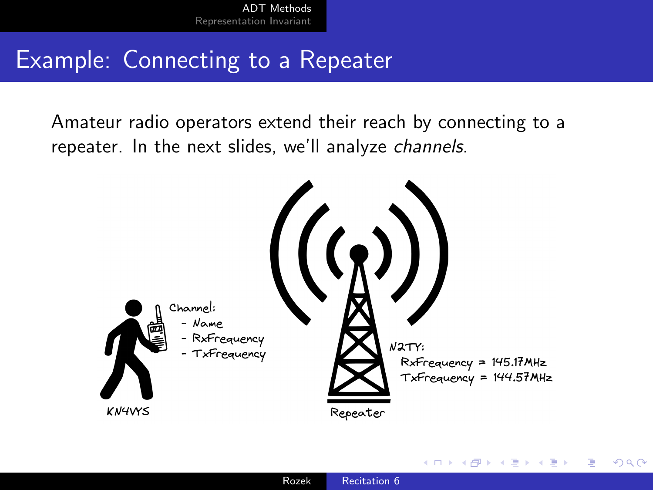## Example: Connecting to a Repeater

Amateur radio operators extend their reach by connecting to a repeater. In the next slides, we'll analyze channels.

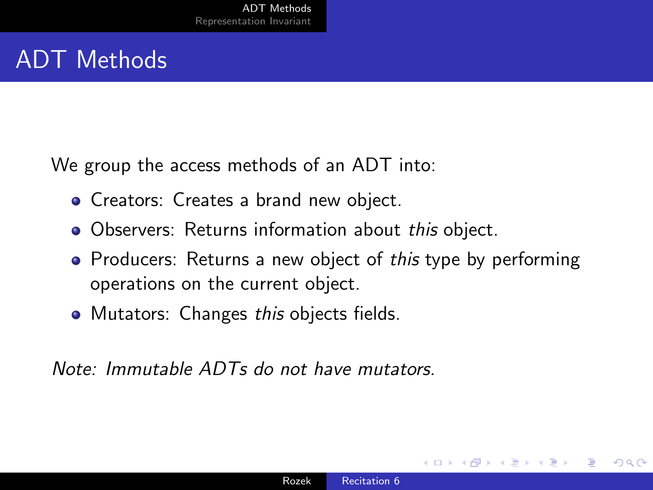## ADT Methods

We group the access methods of an ADT into:

- Creators: Creates a brand new object.
- Observers: Returns information about this object.
- Producers: Returns a new object of this type by performing operations on the current object.
- Mutators: Changes this objects fields.

Note: Immutable ADTs do not have mutators.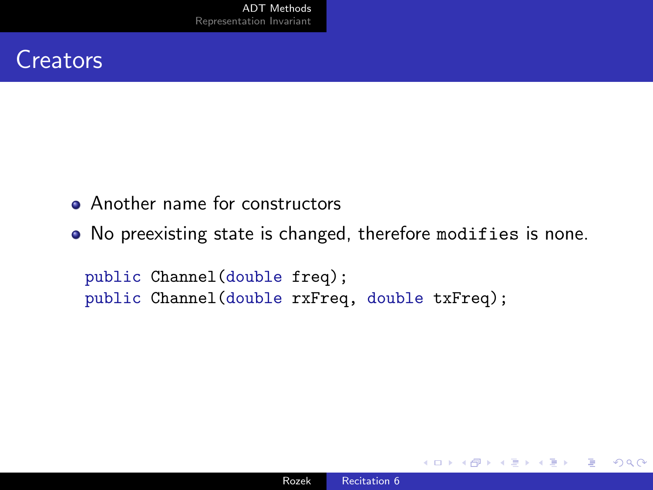### **Creators**

- Another name for constructors
- No preexisting state is changed, therefore modifies is none.

public Channel(double freq); public Channel(double rxFreq, double txFreq);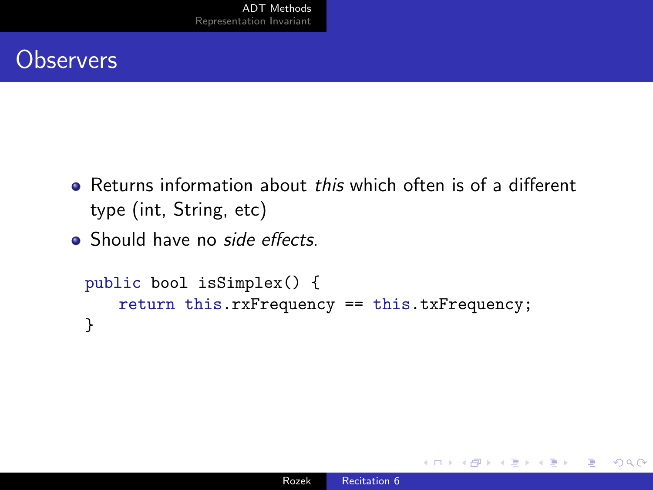## **Observers**

- Returns information about this which often is of a different type (int, String, etc)
- Should have no side effects.

```
public bool isSimplex() {
   return this.rxFrequency == this.txFrequency;
}
```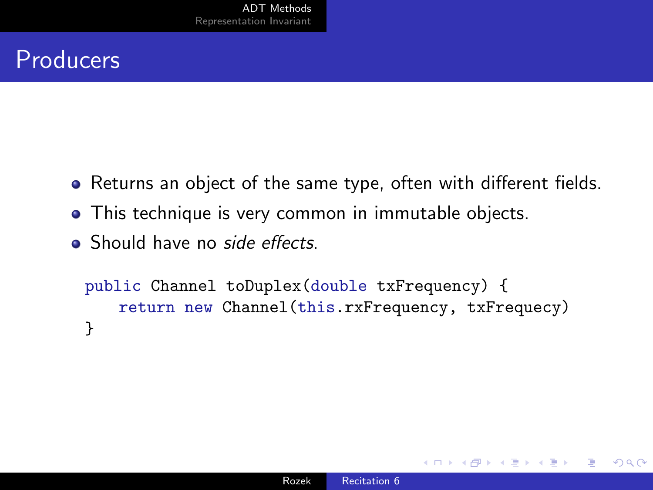## Producers

- Returns an object of the same type, often with different fields.
- This technique is very common in immutable objects.
- **Should have no side effects**

```
public Channel toDuplex(double txFrequency) {
   return new Channel(this.rxFrequency, txFrequecy)
}
```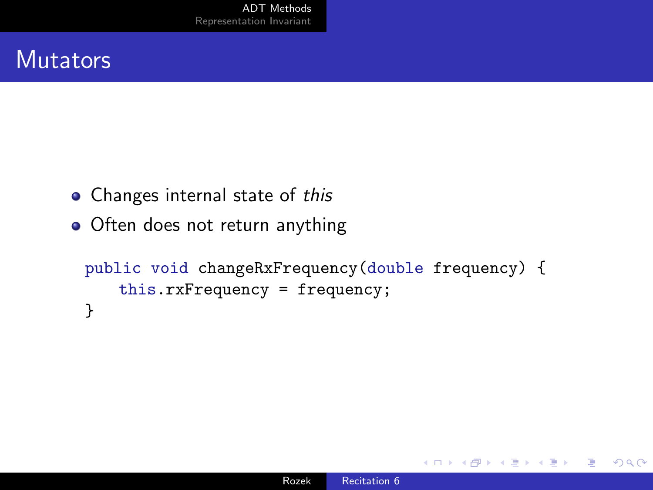#### **Mutators**

- Changes internal state of this
- Often does not return anything

```
public void changeRxFrequency(double frequency) {
   this.rxFrequency = frequency;
}
```
つくへ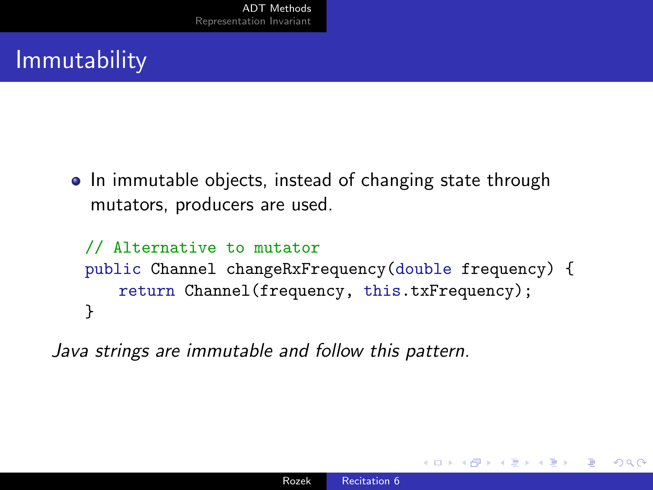# **Immutability**

• In immutable objects, instead of changing state through mutators, producers are used.

```
// Alternative to mutator
public Channel changeRxFrequency(double frequency) {
   return Channel(frequency, this.txFrequency);
}
```
Java strings are immutable and follow this pattern.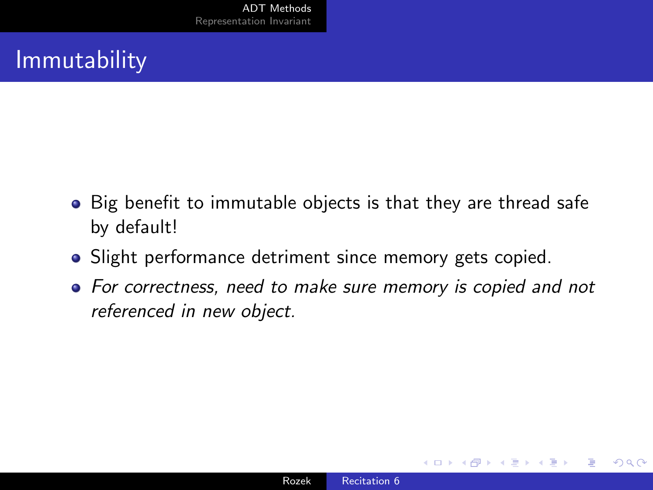# **Immutability**

- Big benefit to immutable objects is that they are thread safe by default!
- Slight performance detriment since memory gets copied.
- For correctness, need to make sure memory is copied and not referenced in new object.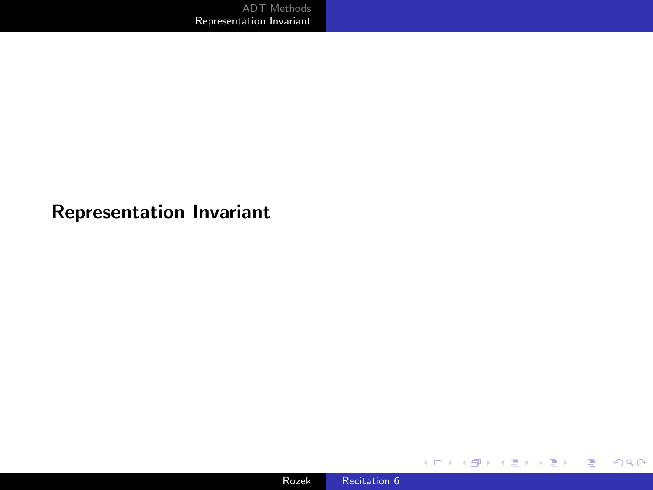#### <span id="page-17-0"></span>Representation Invariant

メロトメ 御 トメ 君 トメ 君 トー

目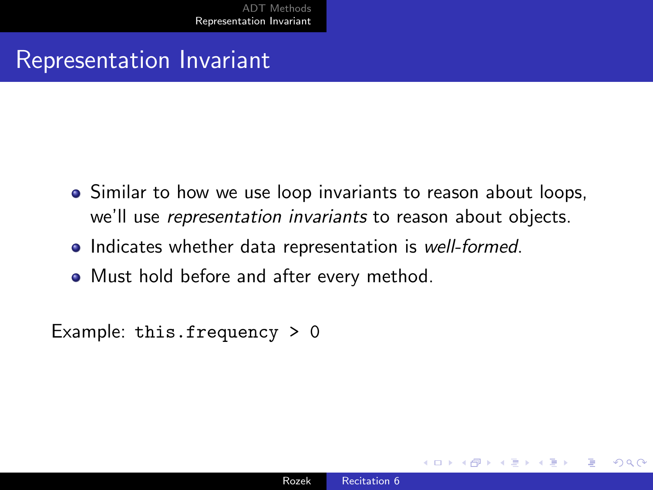### Representation Invariant

- Similar to how we use loop invariants to reason about loops, we'll use representation invariants to reason about objects.
- Indicates whether data representation is well-formed.
- Must hold before and after every method.

Example: this.frequency > 0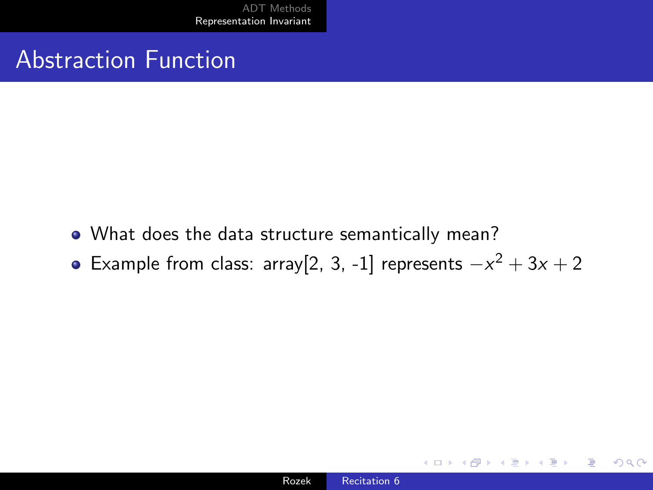### Abstraction Function

- What does the data structure semantically mean?
- Example from class: array[2, 3, -1] represents  $-x^2 + 3x + 2$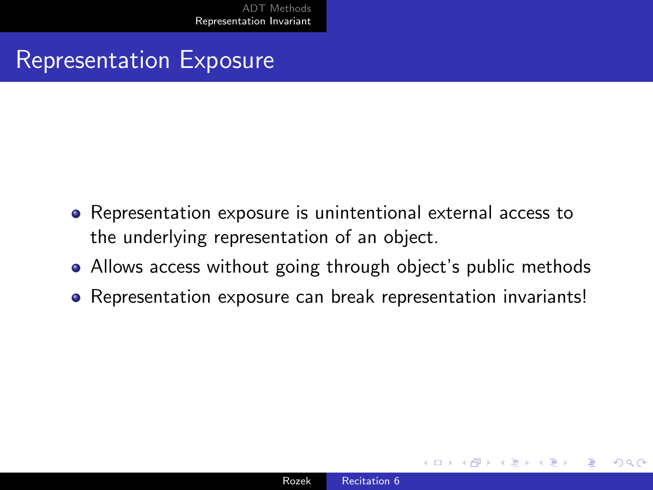#### Representation Exposure

- Representation exposure is unintentional external access to the underlying representation of an object.
- Allows access without going through object's public methods
- Representation exposure can break representation invariants!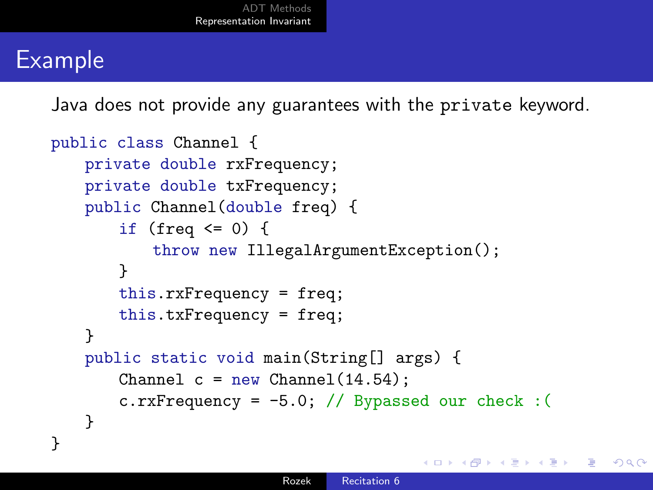## Example

Java does not provide any guarantees with the private keyword.

```
public class Channel {
   private double rxFrequency;
   private double txFrequency;
   public Channel(double freq) {
       if (freq \leq 0) {
           throw new IllegalArgumentException();
       }
       this.rxFrequency = freq;
       this.txFrequency = freq;
   }
   public static void main(String[] args) {
       Channel c = new Channel(14.54);
       c.rxFrequency = -5.0; // Bypassed our check : (
   }
}
```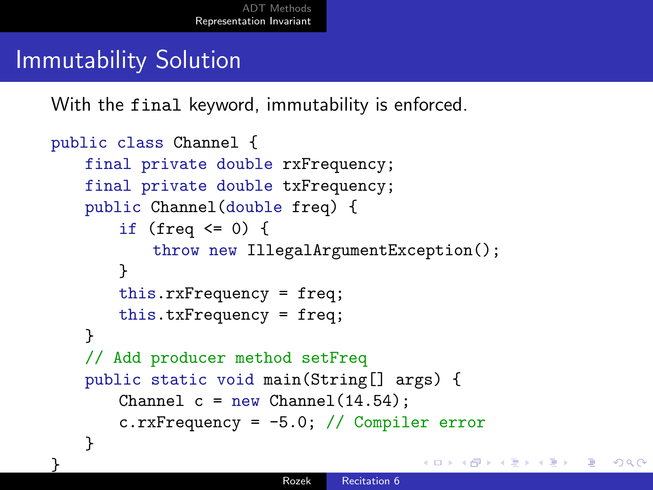## Immutability Solution

}

With the final keyword, immutability is enforced.

```
public class Channel {
   final private double rxFrequency;
   final private double txFrequency;
   public Channel(double freq) {
       if (freq \leq 0) {
           throw new IllegalArgumentException();
       }
       this.rxFrequency = freq;
       this.txFrequency = freq;
   }
   // Add producer method setFreq
   public static void main(String[] args) {
       Channel c = new Channel(14.54);
       c.rxFrequency = -5.0; // Compiler error
   }
```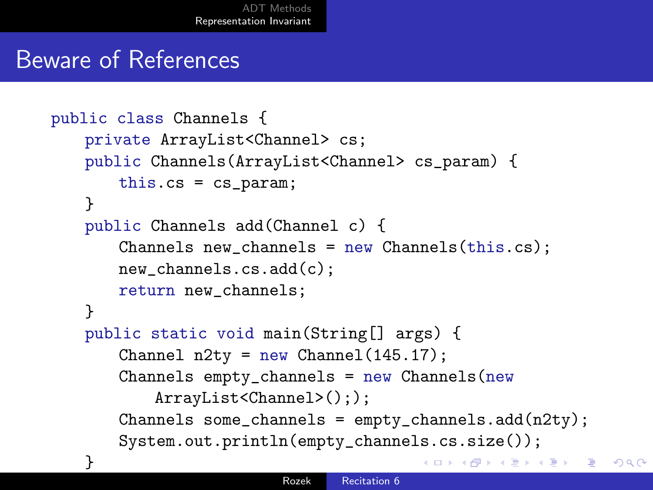#### Beware of References

```
public class Channels {
   private ArrayList<Channel> cs;
   public Channels(ArrayList<Channel> cs_param) {
       this.cs = cs_param;
   }
   public Channels add(Channel c) {
       Channels new_channels = new Channels(this.cs);
       new_channels.cs.add(c);
       return new_channels;
   }
   public static void main(String[] args) {
       Channel n2ty = new Channel(145.17);
       Channels empty-channels = new Channels (new
           ArrayList<Channel>(););
       Channels some_channels = empty_channels.add(n2ty);
       System.out.println(empty_channels.cs.size());
    }
                                             K 御 K K 毛 K K 毛 K コ 白 Y Q Q Q
```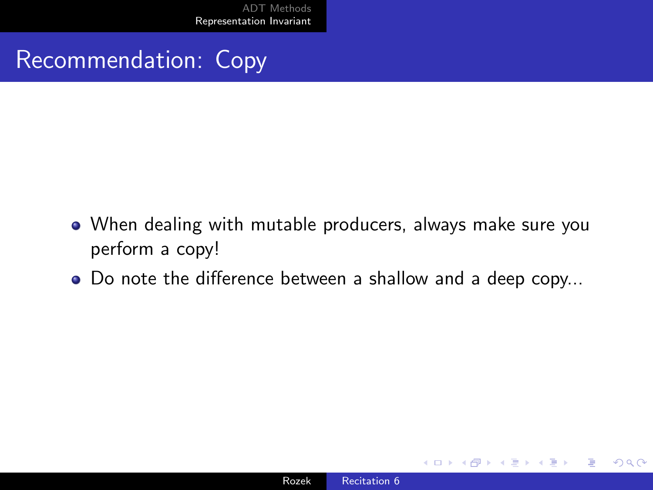## Recommendation: Copy

- When dealing with mutable producers, always make sure you perform a copy!
- Do note the difference between a shallow and a deep copy...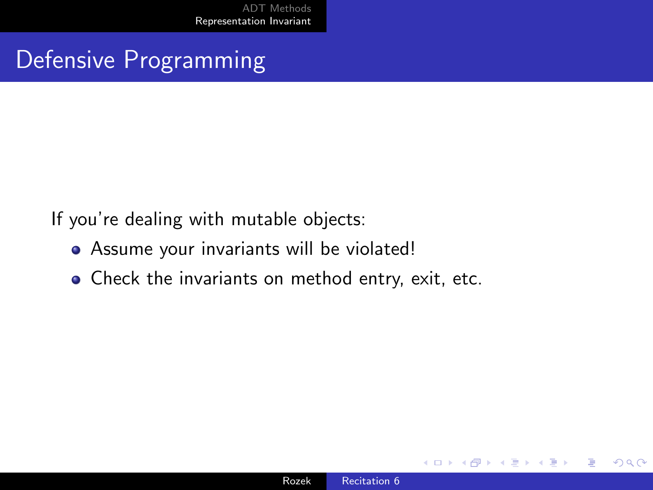## Defensive Programming

If you're dealing with mutable objects:

- Assume your invariants will be violated!
- Check the invariants on method entry, exit, etc.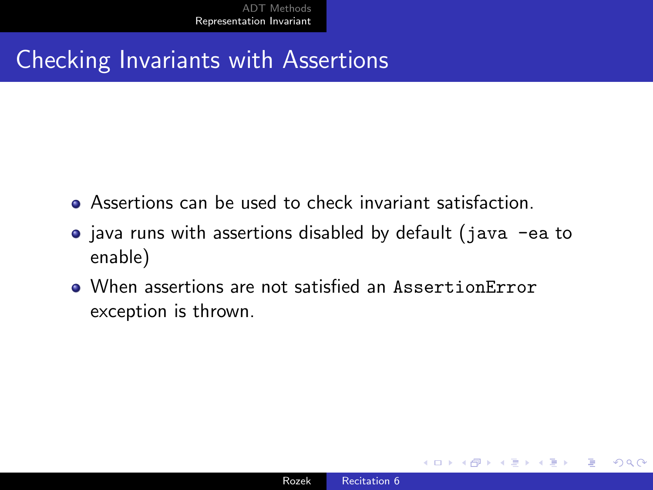## Checking Invariants with Assertions

- Assertions can be used to check invariant satisfaction.
- java runs with assertions disabled by default (java -ea to enable)
- When assertions are not satisfied an AssertionError exception is thrown.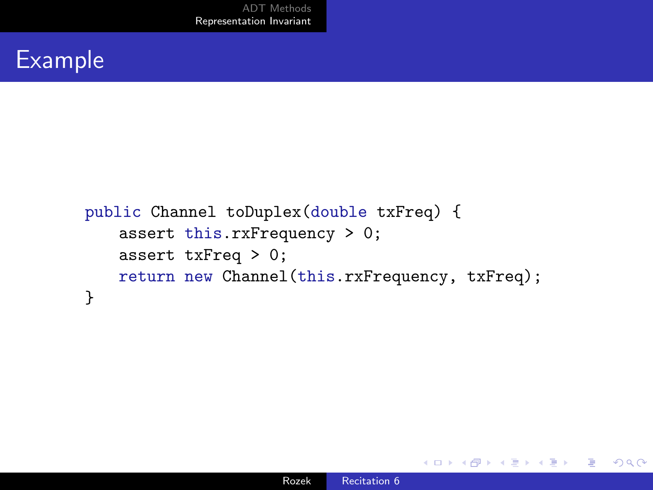### Example

```
public Channel toDuplex(double txFreq) {
   assert this.rxFrequency > 0;
   assert txFreq > 0;
   return new Channel(this.rxFrequency, txFreq);
}
```
 $299$ 

э

ヨト ∍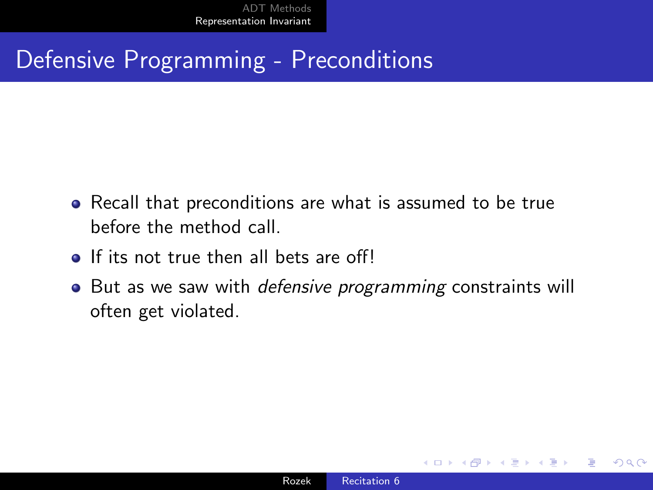#### Defensive Programming - Preconditions

- Recall that preconditions are what is assumed to be true before the method call.
- If its not true then all bets are off!
- But as we saw with *defensive programming* constraints will often get violated.

つくへ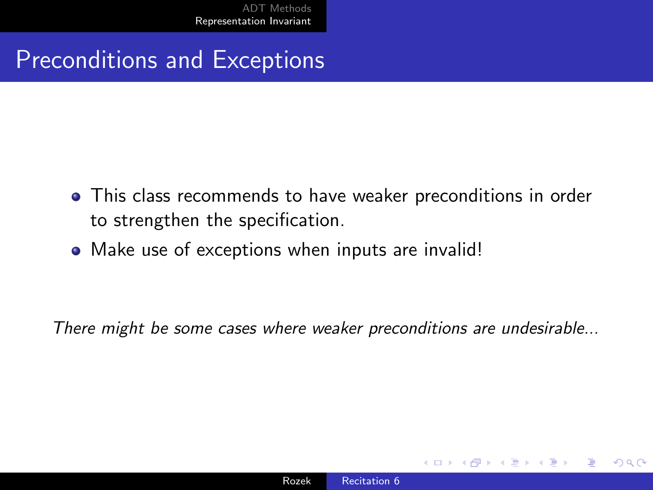Preconditions and Exceptions

- This class recommends to have weaker preconditions in order to strengthen the specification.
- Make use of exceptions when inputs are invalid!

There might be some cases where weaker preconditions are undesirable...

つくへ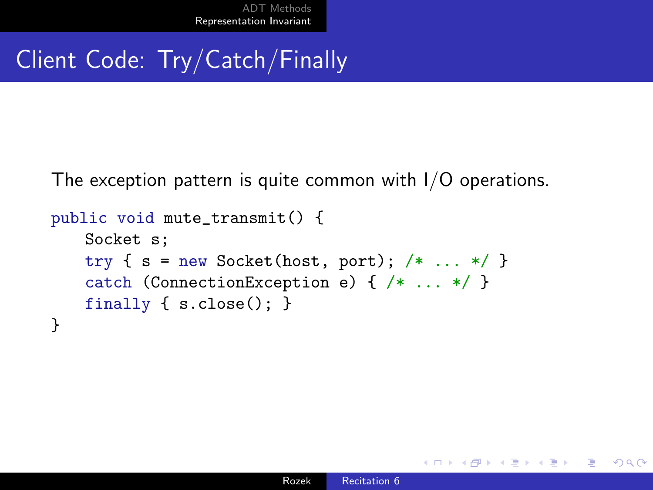## Client Code: Try/Catch/Finally

The exception pattern is quite common with I/O operations.

```
public void mute_transmit() {
   Socket s;
   try \{ s = new Sockets(host, port); /* ... */ }catch (ConnectionException e) { /* ... */ }
   finally { s.close(); }
}
```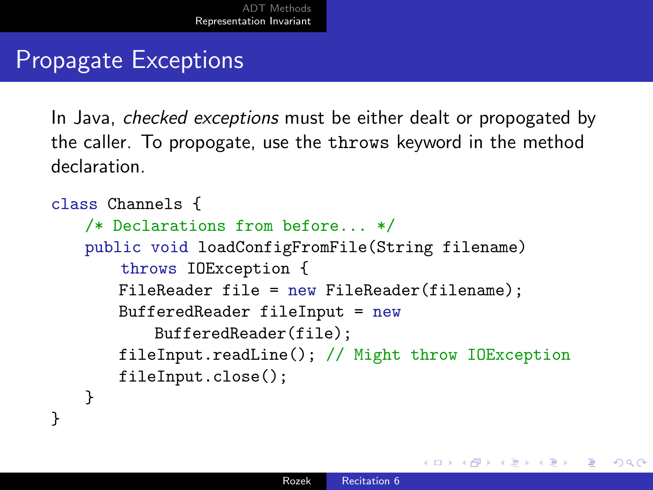#### Propagate Exceptions

}

In Java, *checked exceptions* must be either dealt or propogated by the caller. To propogate, use the throws keyword in the method declaration.

```
class Channels {
   /* Declarations from before... */
   public void loadConfigFromFile(String filename)
       throws IOException {
       FileReader file = new FileReader(filename);
       BufferedReader fileInput = new
           BufferedReader(file);
       fileInput.readLine(); // Might throw IOException
       fileInput.close();
   }
```